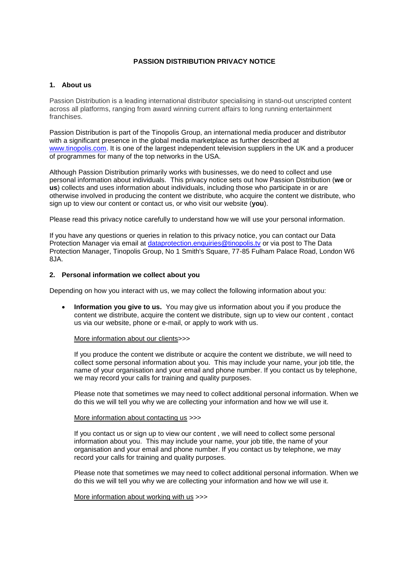# **PASSION DISTRIBUTION PRIVACY NOTICE**

#### **1. About us**

Passion Distribution is a leading international distributor specialising in stand-out unscripted content across all platforms, ranging from award winning current affairs to long running entertainment franchises.

Passion Distribution is part of the Tinopolis Group, an international media producer and distributor with a significant presence in the global media marketplace as further described at [www.tinopolis.com.](http://www.tinopolis.com/) It is one of the largest independent television suppliers in the UK and a producer of programmes for many of the top networks in the USA.

Although Passion Distribution primarily works with businesses, we do need to collect and use personal information about individuals. This privacy notice sets out how Passion Distribution (**we** or **us**) collects and uses information about individuals, including those who participate in or are otherwise involved in producing the content we distribute, who acquire the content we distribute, who sign up to view our content or contact us, or who visit our website (**you**).

Please read this privacy notice carefully to understand how we will use your personal information.

If you have any questions or queries in relation to this privacy notice, you can contact our Data Protection Manager via email at [dataprotection.enquiries@tinopolis.tv](mailto:dataprotection.enquiries@tinopolis.tv) or via post to The Data Protection Manager, Tinopolis Group, No 1 Smith's Square, 77-85 Fulham Palace Road, London W6 8JA.

## **2. Personal information we collect about you**

Depending on how you interact with us, we may collect the following information about you:

 **Information you give to us.** You may give us information about you if you produce the content we distribute, acquire the content we distribute, sign up to view our content , contact us via our website, phone or e-mail, or apply to work with us.

#### More information about our clients>>>

If you produce the content we distribute or acquire the content we distribute, we will need to collect some personal information about you. This may include your name, your job title, the name of your organisation and your email and phone number. If you contact us by telephone, we may record your calls for training and quality purposes.

Please note that sometimes we may need to collect additional personal information. When we do this we will tell you why we are collecting your information and how we will use it.

#### More information about contacting us >>>

If you contact us or sign up to view our content , we will need to collect some personal information about you. This may include your name, your job title, the name of your organisation and your email and phone number. If you contact us by telephone, we may record your calls for training and quality purposes.

Please note that sometimes we may need to collect additional personal information. When we do this we will tell you why we are collecting your information and how we will use it.

#### More information about working with us >>>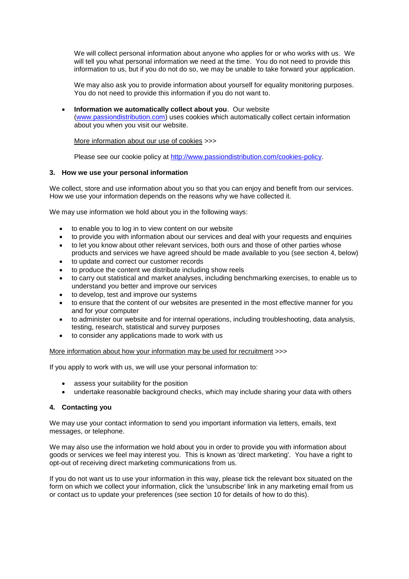We will collect personal information about anyone who applies for or who works with us. We will tell you what personal information we need at the time. You do not need to provide this information to us, but if you do not do so, we may be unable to take forward your application.

We may also ask you to provide information about yourself for equality monitoring purposes. You do not need to provide this information if you do not want to.

 **Information we automatically collect about you**. Our website [\(www.passiondistribution.com\)](http://www.passiondistribution.com/) uses cookies which automatically collect certain information about you when you visit our website.

More information about our use of cookies >>>

Please see our cookie policy at [http://www.passiondistribution.com/cookies-policy.](http://www.passiondistribution.com/cookies-policy)

### **3. How we use your personal information**

We collect, store and use information about you so that you can enjoy and benefit from our services. How we use your information depends on the reasons why we have collected it.

We may use information we hold about you in the following ways:

- to enable you to log in to view content on our website
- to provide you with information about our services and deal with your requests and enquiries
- to let you know about other relevant services, both ours and those of other parties whose products and services we have agreed should be made available to you (see section 4, below)
- to update and correct our customer records
- to produce the content we distribute including show reels
- to carry out statistical and market analyses, including benchmarking exercises, to enable us to understand you better and improve our services
- to develop, test and improve our systems
- to ensure that the content of our websites are presented in the most effective manner for you and for your computer
- to administer our website and for internal operations, including troubleshooting, data analysis, testing, research, statistical and survey purposes
- to consider any applications made to work with us

More information about how your information may be used for recruitment  $\gg$ 

If you apply to work with us, we will use your personal information to:

- assess your suitability for the position
- undertake reasonable background checks, which may include sharing your data with others

# **4. Contacting you**

We may use your contact information to send you important information via letters, emails, text messages, or telephone.

We may also use the information we hold about you in order to provide you with information about goods or services we feel may interest you. This is known as 'direct marketing'. You have a right to opt-out of receiving direct marketing communications from us.

If you do not want us to use your information in this way, please tick the relevant box situated on the form on which we collect your information, click the 'unsubscribe' link in any marketing email from us or contact us to update your preferences (see section 10 for details of how to do this).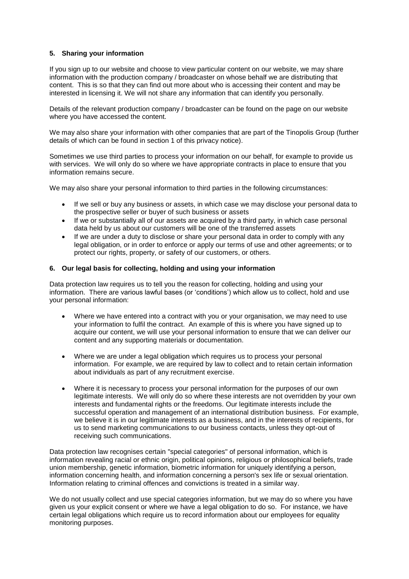# **5. Sharing your information**

If you sign up to our website and choose to view particular content on our website, we may share information with the production company / broadcaster on whose behalf we are distributing that content. This is so that they can find out more about who is accessing their content and may be interested in licensing it. We will not share any information that can identify you personally.

Details of the relevant production company / broadcaster can be found on the page on our website where you have accessed the content.

We may also share your information with other companies that are part of the Tinopolis Group (further details of which can be found in section 1 of this privacy notice).

Sometimes we use third parties to process your information on our behalf, for example to provide us with services. We will only do so where we have appropriate contracts in place to ensure that you information remains secure.

We may also share your personal information to third parties in the following circumstances:

- If we sell or buy any business or assets, in which case we may disclose your personal data to the prospective seller or buyer of such business or assets
- If we or substantially all of our assets are acquired by a third party, in which case personal data held by us about our customers will be one of the transferred assets
- If we are under a duty to disclose or share your personal data in order to comply with any legal obligation, or in order to enforce or apply our terms of use and other agreements; or to protect our rights, property, or safety of our customers, or others.

### **6. Our legal basis for collecting, holding and using your information**

Data protection law requires us to tell you the reason for collecting, holding and using your information. There are various lawful bases (or 'conditions') which allow us to collect, hold and use your personal information:

- Where we have entered into a contract with you or your organisation, we may need to use your information to fulfil the contract. An example of this is where you have signed up to acquire our content, we will use your personal information to ensure that we can deliver our content and any supporting materials or documentation.
- Where we are under a legal obligation which requires us to process your personal information. For example, we are required by law to collect and to retain certain information about individuals as part of any recruitment exercise.
- Where it is necessary to process your personal information for the purposes of our own legitimate interests. We will only do so where these interests are not overridden by your own interests and fundamental rights or the freedoms. Our legitimate interests include the successful operation and management of an international distribution business. For example, we believe it is in our legitimate interests as a business, and in the interests of recipients, for us to send marketing communications to our business contacts, unless they opt-out of receiving such communications.

Data protection law recognises certain "special categories" of personal information, which is information revealing racial or ethnic origin, political opinions, religious or philosophical beliefs, trade union membership, genetic information, biometric information for uniquely identifying a person, information concerning health, and information concerning a person's sex life or sexual orientation. Information relating to criminal offences and convictions is treated in a similar way.

We do not usually collect and use special categories information, but we may do so where you have given us your explicit consent or where we have a legal obligation to do so. For instance, we have certain legal obligations which require us to record information about our employees for equality monitoring purposes.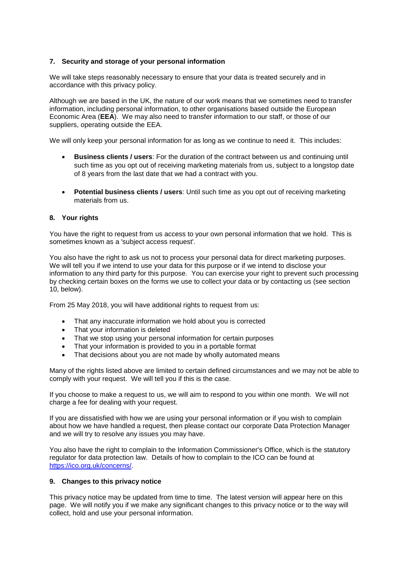# **7. Security and storage of your personal information**

We will take steps reasonably necessary to ensure that your data is treated securely and in accordance with this privacy policy.

Although we are based in the UK, the nature of our work means that we sometimes need to transfer information, including personal information, to other organisations based outside the European Economic Area (**EEA**). We may also need to transfer information to our staff, or those of our suppliers, operating outside the EEA.

We will only keep your personal information for as long as we continue to need it. This includes:

- **Business clients / users**: For the duration of the contract between us and continuing until such time as you opt out of receiving marketing materials from us, subject to a longstop date of 8 years from the last date that we had a contract with you.
- **Potential business clients / users**: Until such time as you opt out of receiving marketing materials from us.

### **8. Your rights**

You have the right to request from us access to your own personal information that we hold. This is sometimes known as a 'subject access request'.

You also have the right to ask us not to process your personal data for direct marketing purposes. We will tell you if we intend to use your data for this purpose or if we intend to disclose your information to any third party for this purpose. You can exercise your right to prevent such processing by checking certain boxes on the forms we use to collect your data or by contacting us (see section 10, below).

From 25 May 2018, you will have additional rights to request from us:

- That any inaccurate information we hold about you is corrected
- That your information is deleted
- That we stop using your personal information for certain purposes
- That your information is provided to you in a portable format
- That decisions about you are not made by wholly automated means

Many of the rights listed above are limited to certain defined circumstances and we may not be able to comply with your request. We will tell you if this is the case.

If you choose to make a request to us, we will aim to respond to you within one month. We will not charge a fee for dealing with your request.

If you are dissatisfied with how we are using your personal information or if you wish to complain about how we have handled a request, then please contact our corporate Data Protection Manager and we will try to resolve any issues you may have.

You also have the right to complain to the Information Commissioner's Office, which is the statutory regulator for data protection law. Details of how to complain to the ICO can be found at [https://ico.org.uk/concerns/.](https://ico.org.uk/concerns/)

# **9. Changes to this privacy notice**

This privacy notice may be updated from time to time. The latest version will appear here on this page. We will notify you if we make any significant changes to this privacy notice or to the way will collect, hold and use your personal information.